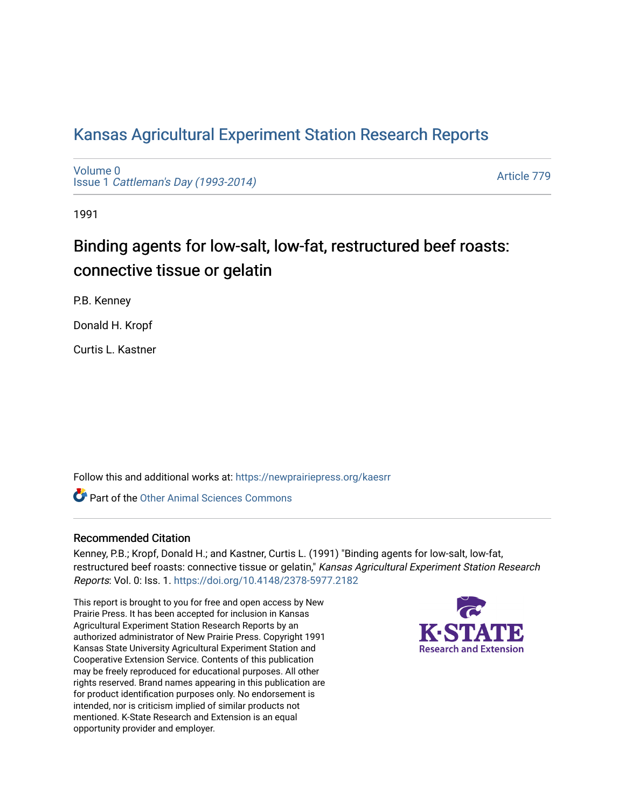# [Kansas Agricultural Experiment Station Research Reports](https://newprairiepress.org/kaesrr)

[Volume 0](https://newprairiepress.org/kaesrr/vol0) Issue 1 [Cattleman's Day \(1993-2014\)](https://newprairiepress.org/kaesrr/vol0/iss1) 

[Article 779](https://newprairiepress.org/kaesrr/vol0/iss1/779) 

1991

# Binding agents for low-salt, low-fat, restructured beef roasts: connective tissue or gelatin

P.B. Kenney

Donald H. Kropf

Curtis L. Kastner

Follow this and additional works at: [https://newprairiepress.org/kaesrr](https://newprairiepress.org/kaesrr?utm_source=newprairiepress.org%2Fkaesrr%2Fvol0%2Fiss1%2F779&utm_medium=PDF&utm_campaign=PDFCoverPages) 

**C** Part of the [Other Animal Sciences Commons](http://network.bepress.com/hgg/discipline/82?utm_source=newprairiepress.org%2Fkaesrr%2Fvol0%2Fiss1%2F779&utm_medium=PDF&utm_campaign=PDFCoverPages)

# Recommended Citation

Kenney, P.B.; Kropf, Donald H.; and Kastner, Curtis L. (1991) "Binding agents for low-salt, low-fat, restructured beef roasts: connective tissue or gelatin," Kansas Agricultural Experiment Station Research Reports: Vol. 0: Iss. 1.<https://doi.org/10.4148/2378-5977.2182>

This report is brought to you for free and open access by New Prairie Press. It has been accepted for inclusion in Kansas Agricultural Experiment Station Research Reports by an authorized administrator of New Prairie Press. Copyright 1991 Kansas State University Agricultural Experiment Station and Cooperative Extension Service. Contents of this publication may be freely reproduced for educational purposes. All other rights reserved. Brand names appearing in this publication are for product identification purposes only. No endorsement is intended, nor is criticism implied of similar products not mentioned. K-State Research and Extension is an equal opportunity provider and employer.

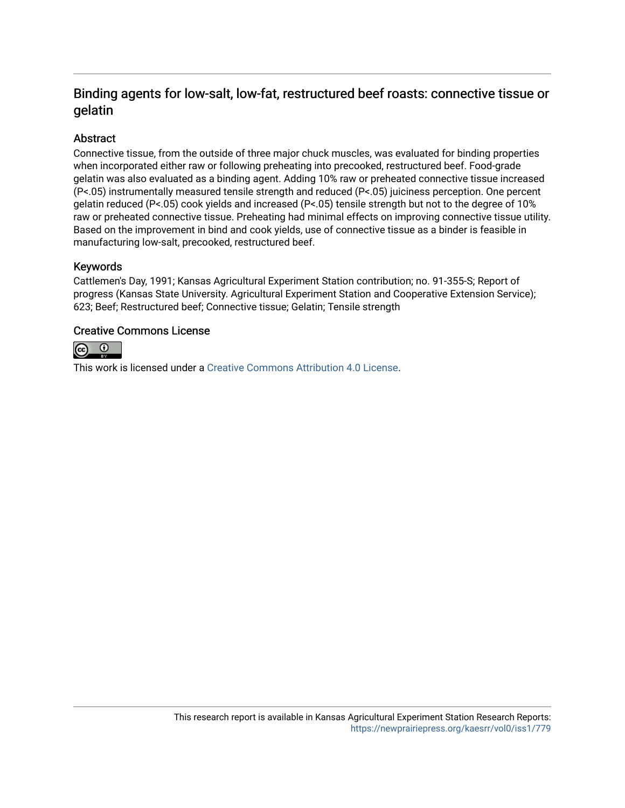# Binding agents for low-salt, low-fat, restructured beef roasts: connective tissue or gelatin

# Abstract

Connective tissue, from the outside of three major chuck muscles, was evaluated for binding properties when incorporated either raw or following preheating into precooked, restructured beef. Food-grade gelatin was also evaluated as a binding agent. Adding 10% raw or preheated connective tissue increased (P<.05) instrumentally measured tensile strength and reduced (P<.05) juiciness perception. One percent gelatin reduced (P<.05) cook yields and increased (P<.05) tensile strength but not to the degree of 10% raw or preheated connective tissue. Preheating had minimal effects on improving connective tissue utility. Based on the improvement in bind and cook yields, use of connective tissue as a binder is feasible in manufacturing low-salt, precooked, restructured beef.

## Keywords

Cattlemen's Day, 1991; Kansas Agricultural Experiment Station contribution; no. 91-355-S; Report of progress (Kansas State University. Agricultural Experiment Station and Cooperative Extension Service); 623; Beef; Restructured beef; Connective tissue; Gelatin; Tensile strength

## Creative Commons License



This work is licensed under a [Creative Commons Attribution 4.0 License](https://creativecommons.org/licenses/by/4.0/).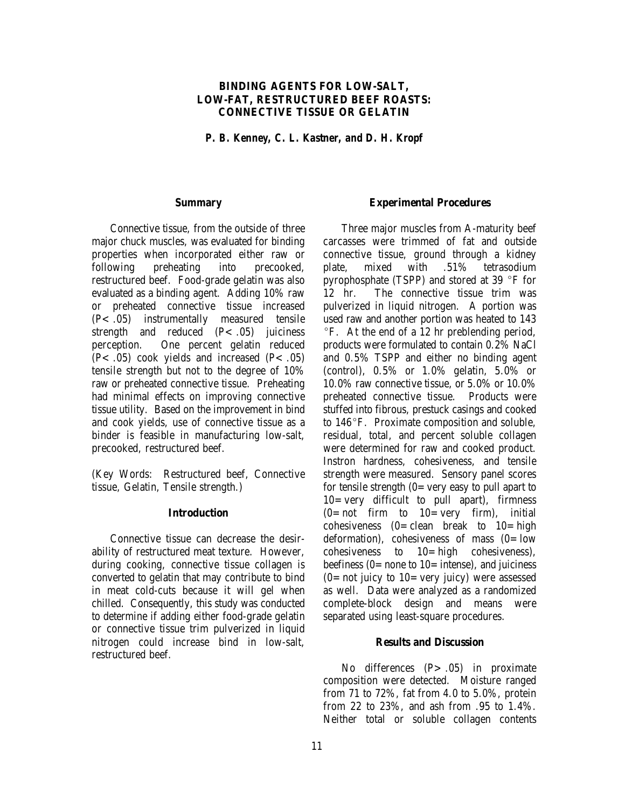### **BINDING AGENTS FOR LOW-SALT, LOW-FAT, RESTRUCTURED BEEF ROASTS: CONNECTIVE TISSUE OR GELATIN**

*P. B. Kenney, C. L. Kastner, and D. H. Kropf*

#### **Summary**

Connective tissue, from the outside of three major chuck muscles, was evaluated for binding properties when incorporated either raw or following preheating into precooked, restructured beef. Food-grade gelatin was also evaluated as a binding agent. Adding 10% raw or preheated connective tissue increased (P<.05) instrumentally measured tensile strength and reduced  $(P<.05)$  juiciness perception. One percent gelatin reduced  $(P<.05)$  cook yields and increased  $(P<.05)$ tensile strength but not to the degree of 10% raw or preheated connective tissue. Preheating had minimal effects on improving connective tissue utility. Based on the improvement in bind and cook yields, use of connective tissue as a binder is feasible in manufacturing low-salt, precooked, restructured beef.

(Key Words: Restructured beef, Connective tissue, Gelatin, Tensile strength.)

#### **Introduction**

Connective tissue can decrease the desirability of restructured meat texture. However, during cooking, connective tissue collagen is converted to gelatin that may contribute to bind in meat cold-cuts because it will gel when chilled. Consequently, this study was conducted to determine if adding either food-grade gelatin or connective tissue trim pulverized in liquid nitrogen could increase bind in low-salt, restructured beef.

#### **Experimental Procedures**

Three major muscles from A-maturity beef carcasses were trimmed of fat and outside connective tissue, ground through a kidney plate, mixed with .51% tetrasodium pyrophosphate (TSPP) and stored at 39  $\degree$ F for 12 hr. The connective tissue trim was pulverized in liquid nitrogen. A portion was used raw and another portion was heated to 143  $\degree$ F. At the end of a 12 hr preblending period, products were formulated to contain 0.2% NaCl and 0.5% TSPP and either no binding agent (control), 0.5% or 1.0% gelatin, 5.0% or 10.0% raw connective tissue, or 5.0% or 10.0% preheated connective tissue. Products were stuffed into fibrous, prestuck casings and cooked to  $146^{\circ}$ F. Proximate composition and soluble, residual, total, and percent soluble collagen were determined for raw and cooked product. Instron hardness, cohesiveness, and tensile strength were measured. Sensory panel scores for tensile strength  $(0=$  very easy to pull apart to  $10 = \text{very}$  difficult to pull apart), firmness  $(0=$ not firm to  $10=$  very firm), initial cohesiveness  $(0=$  clean break to  $10=$  high deformation), cohesiveness of mass  $(0=low$ cohesiveness to  $10=$  high cohesiveness), beefiness  $(0=$  none to  $10=$  intense), and juiciness  $(0=$  not juicy to  $10=$  very juicy) were assessed as well. Data were analyzed as a randomized complete-block design and means were separated using least-square procedures.

#### **Results and Discussion**

No differences (P> .05) in proximate composition were detected. Moisture ranged from 71 to 72%, fat from 4.0 to 5.0%, protein from 22 to 23%, and ash from .95 to 1.4%. Neither total or soluble collagen contents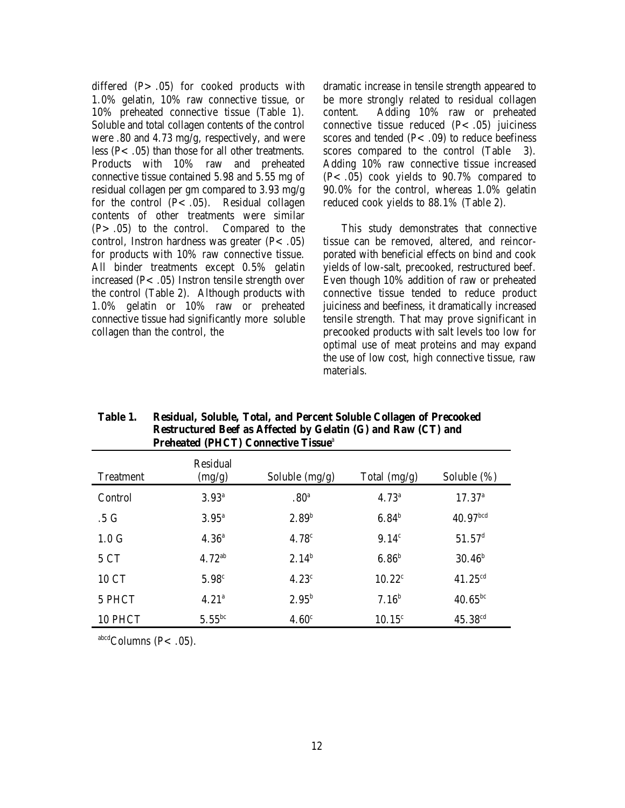differed  $(P > .05)$  for cooked products with 1.0% gelatin, 10% raw connective tissue, or 10% preheated connective tissue (Table 1). Soluble and total collagen contents of the control were .80 and 4.73 mg/g, respectively, and were less ( $P$ < .05) than those for all other treatments. Products with 10% raw and preheated connective tissue contained 5.98 and 5.55 mg of residual collagen per gm compared to 3.93 mg/g for the control  $(P<.05)$ . Residual collagen contents of other treatments were similar  $(P > .05)$  to the control. Compared to the control, Instron hardness was greater  $(P<.05)$ for products with 10% raw connective tissue. All binder treatments except 0.5% gelatin increased  $(P<.05)$  Instron tensile strength over the control (Table 2). Although products with 1.0% gelatin or 10% raw or preheated connective tissue had significantly more soluble collagen than the control, the

dramatic increase in tensile strength appeared to be more strongly related to residual collagen content. Adding 10% raw or preheated connective tissue reduced  $(P<.05)$  juiciness scores and tended  $(P<.09)$  to reduce beefiness scores compared to the control (Table 3). Adding 10% raw connective tissue increased (P<.05) cook yields to 90.7% compared to 90.0% for the control, whereas 1.0% gelatin reduced cook yields to 88.1% (Table 2).

This study demonstrates that connective tissue can be removed, altered, and reincorporated with beneficial effects on bind and cook yields of low-salt, precooked, restructured beef. Even though 10% addition of raw or preheated connective tissue tended to reduce product juiciness and beefiness, it dramatically increased tensile strength. That may prove significant in precooked products with salt levels too low for optimal use of meat proteins and may expand the use of low cost, high connective tissue, raw materials.

| <b>Treatment</b> | Residual<br>(mg/g) | Soluble (mg/g)    | Total (mg/g)      | Soluble $(\%)$       |
|------------------|--------------------|-------------------|-------------------|----------------------|
| Control          | $3.93^{a}$         | .80 <sup>a</sup>  | $4.73^{\circ}$    | $17.37^{\circ}$      |
| $.5\ G$          | $3.95^{\circ}$     | 2.89 <sup>b</sup> | 6.84 <sup>b</sup> | 40.97 <sup>bcd</sup> |
| 1.0 <sub>G</sub> | $4.36^{\circ}$     | 4.78 <sup>c</sup> | 9.14 <sup>c</sup> | $51.57$ <sup>d</sup> |
| 5 CT             | $4.72^{ab}$        | $2.14^{b}$        | 6.86 <sup>b</sup> | $30.46^{\rm b}$      |
| 10 CT            | $5.98^{\circ}$     | $4.23^{\circ}$    | $10.22^{\circ}$   | $41.25^{cd}$         |
| 5 PHCT           | 4.21 <sup>a</sup>  | $2.95^{b}$        | 7.16 <sup>b</sup> | $40.65^{bc}$         |
| 10 PHCT          | $5.55^{bc}$        | 4.60 <sup>c</sup> | $10.15^{\circ}$   | $45.38^{cd}$         |

**Table 1. Residual, Soluble, Total, and Percent Soluble Collagen of Precooked Restructured Beef as Affected by Gelatin (G) and Raw (CT) and Preheated (PHCT) Connective Tissue**<sup>a</sup>

 $abcd$ Columns (P< .05).